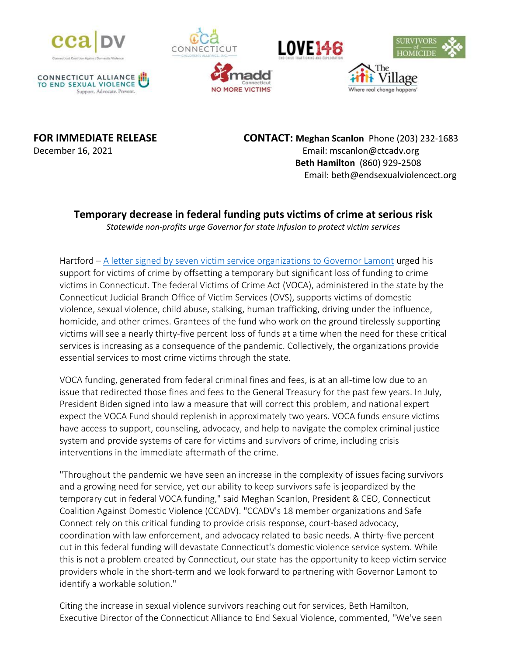









**MORE VICTIMS** 

**FOR IMMEDIATE RELEASE CONTACT: Meghan Scanlon** Phone (203) 232-1683 December 16, 2021 Email: mscanlon@ctcadv.org **Beth Hamilton** (860) 929-2508 Email: beth@endsexualviolencect.org

Where real change happens'

## **Temporary decrease in federal funding puts victims of crime at serious risk**

*Statewide non-profits urge Governor for state infusion to protect victim services*

Hartford – [A letter signed by seven victim service organizations to Governor Lamont](https://endsexualviolencect.org/wp-content/uploads/2021/12/VOCA-Partner-Letter-FINAL-.pdf) urged his support for victims of crime by offsetting a temporary but significant loss of funding to crime victims in Connecticut. The federal Victims of Crime Act (VOCA), administered in the state by the Connecticut Judicial Branch Office of Victim Services (OVS), supports victims of domestic violence, sexual violence, child abuse, stalking, human trafficking, driving under the influence, homicide, and other crimes. Grantees of the fund who work on the ground tirelessly supporting victims will see a nearly thirty-five percent loss of funds at a time when the need for these critical services is increasing as a consequence of the pandemic. Collectively, the organizations provide essential services to most crime victims through the state.

VOCA funding, generated from federal criminal fines and fees, is at an all-time low due to an issue that redirected those fines and fees to the General Treasury for the past few years. In July, President Biden signed into law a measure that will correct this problem, and national expert expect the VOCA Fund should replenish in approximately two years. VOCA funds ensure victims have access to support, counseling, advocacy, and help to navigate the complex criminal justice system and provide systems of care for victims and survivors of crime, including crisis interventions in the immediate aftermath of the crime.

"Throughout the pandemic we have seen an increase in the complexity of issues facing survivors and a growing need for service, yet our ability to keep survivors safe is jeopardized by the temporary cut in federal VOCA funding," said Meghan Scanlon, President & CEO, Connecticut Coalition Against Domestic Violence (CCADV). "CCADV's 18 member organizations and Safe Connect rely on this critical funding to provide crisis response, court-based advocacy, coordination with law enforcement, and advocacy related to basic needs. A thirty-five percent cut in this federal funding will devastate Connecticut's domestic violence service system. While this is not a problem created by Connecticut, our state has the opportunity to keep victim service providers whole in the short-term and we look forward to partnering with Governor Lamont to identify a workable solution."

Citing the increase in sexual violence survivors reaching out for services, Beth Hamilton, Executive Director of the Connecticut Alliance to End Sexual Violence, commented, "We've seen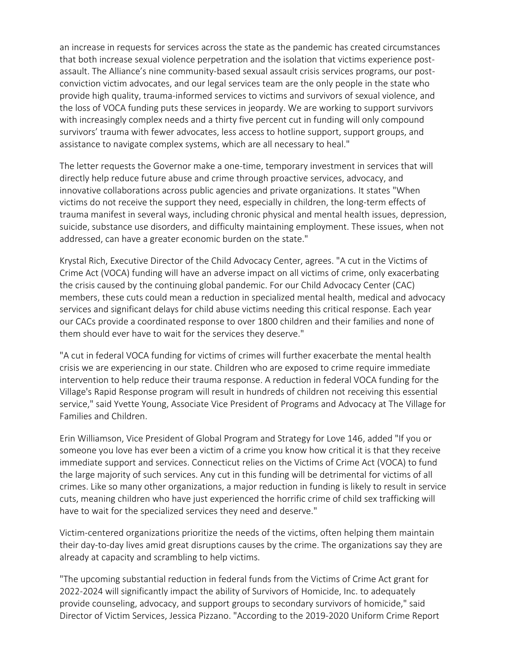an increase in requests for services across the state as the pandemic has created circumstances that both increase sexual violence perpetration and the isolation that victims experience postassault. The Alliance's nine community-based sexual assault crisis services programs, our postconviction victim advocates, and our legal services team are the only people in the state who provide high quality, trauma-informed services to victims and survivors of sexual violence, and the loss of VOCA funding puts these services in jeopardy. We are working to support survivors with increasingly complex needs and a thirty five percent cut in funding will only compound survivors' trauma with fewer advocates, less access to hotline support, support groups, and assistance to navigate complex systems, which are all necessary to heal."

The letter requests the Governor make a one-time, temporary investment in services that will directly help reduce future abuse and crime through proactive services, advocacy, and innovative collaborations across public agencies and private organizations. It states "When victims do not receive the support they need, especially in children, the long-term effects of trauma manifest in several ways, including chronic physical and mental health issues, depression, suicide, substance use disorders, and difficulty maintaining employment. These issues, when not addressed, can have a greater economic burden on the state."

Krystal Rich, Executive Director of the Child Advocacy Center, agrees. "A cut in the Victims of Crime Act (VOCA) funding will have an adverse impact on all victims of crime, only exacerbating the crisis caused by the continuing global pandemic. For our Child Advocacy Center (CAC) members, these cuts could mean a reduction in specialized mental health, medical and advocacy services and significant delays for child abuse victims needing this critical response. Each year our CACs provide a coordinated response to over 1800 children and their families and none of them should ever have to wait for the services they deserve."

"A cut in federal VOCA funding for victims of crimes will further exacerbate the mental health crisis we are experiencing in our state. Children who are exposed to crime require immediate intervention to help reduce their trauma response. A reduction in federal VOCA funding for the Village's Rapid Response program will result in hundreds of children not receiving this essential service," said Yvette Young, Associate Vice President of Programs and Advocacy at The Village for Families and Children.

Erin Williamson, Vice President of Global Program and Strategy for Love 146, added "If you or someone you love has ever been a victim of a crime you know how critical it is that they receive immediate support and services. Connecticut relies on the Victims of Crime Act (VOCA) to fund the large majority of such services. Any cut in this funding will be detrimental for victims of all crimes. Like so many other organizations, a major reduction in funding is likely to result in service cuts, meaning children who have just experienced the horrific crime of child sex trafficking will have to wait for the specialized services they need and deserve."

Victim-centered organizations prioritize the needs of the victims, often helping them maintain their day-to-day lives amid great disruptions causes by the crime. The organizations say they are already at capacity and scrambling to help victims.

"The upcoming substantial reduction in federal funds from the Victims of Crime Act grant for 2022-2024 will significantly impact the ability of Survivors of Homicide, Inc. to adequately provide counseling, advocacy, and support groups to secondary survivors of homicide," said Director of Victim Services, Jessica Pizzano. "According to the 2019-2020 Uniform Crime Report